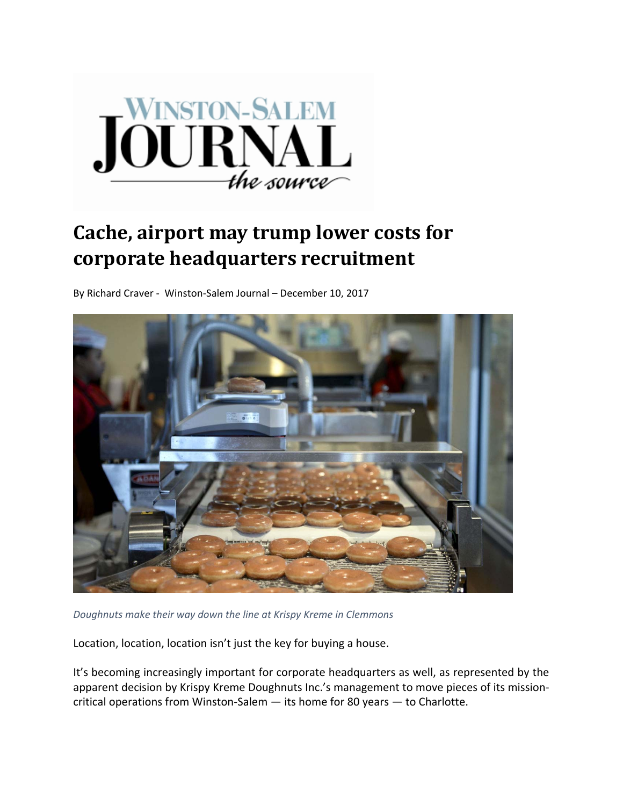

## **Cache, airport may trump lower costs for corporate headquarters recruitment**

By Richard Craver ‐ Winston‐Salem Journal – December 10, 2017



*Doughnuts make their way down the line at Krispy Kreme in Clemmons*

Location, location, location isn't just the key for buying a house.

It's becoming increasingly important for corporate headquarters as well, as represented by the apparent decision by Krispy Kreme Doughnuts Inc.'s management to move pieces of its missioncritical operations from Winston‐Salem — its home for 80 years — to Charlotte.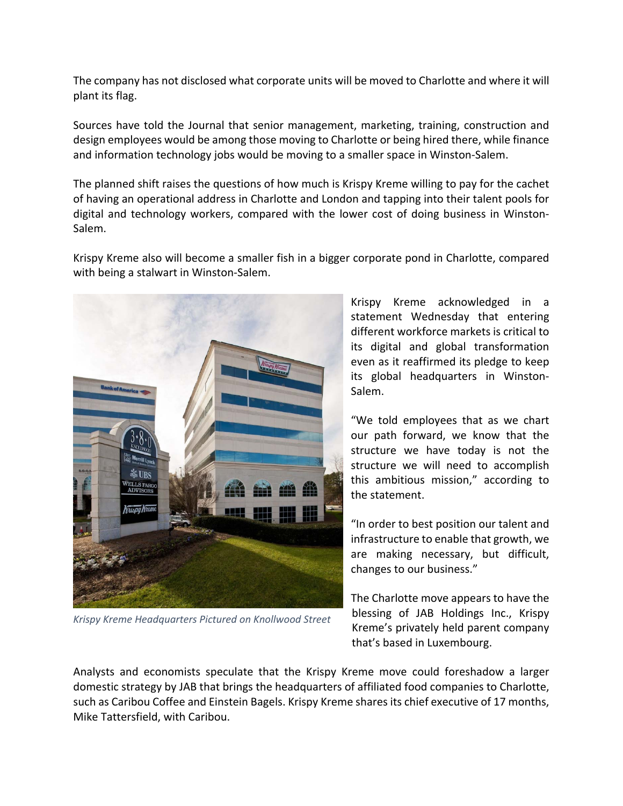The company has not disclosed what corporate units will be moved to Charlotte and where it will plant its flag.

Sources have told the Journal that senior management, marketing, training, construction and design employees would be among those moving to Charlotte or being hired there, while finance and information technology jobs would be moving to a smaller space in Winston‐Salem.

The planned shift raises the questions of how much is Krispy Kreme willing to pay for the cachet of having an operational address in Charlotte and London and tapping into their talent pools for digital and technology workers, compared with the lower cost of doing business in Winston‐ Salem.

Krispy Kreme also will become a smaller fish in a bigger corporate pond in Charlotte, compared with being a stalwart in Winston‐Salem.



*Krispy Kreme Headquarters Pictured on Knollwood Street*

Krispy Kreme acknowledged in a statement Wednesday that entering different workforce markets is critical to its digital and global transformation even as it reaffirmed its pledge to keep its global headquarters in Winston‐ Salem.

"We told employees that as we chart our path forward, we know that the structure we have today is not the structure we will need to accomplish this ambitious mission," according to the statement.

"In order to best position our talent and infrastructure to enable that growth, we are making necessary, but difficult, changes to our business."

The Charlotte move appears to have the blessing of JAB Holdings Inc., Krispy Kreme's privately held parent company that's based in Luxembourg.

Analysts and economists speculate that the Krispy Kreme move could foreshadow a larger domestic strategy by JAB that brings the headquarters of affiliated food companies to Charlotte, such as Caribou Coffee and Einstein Bagels. Krispy Kreme shares its chief executive of 17 months, Mike Tattersfield, with Caribou.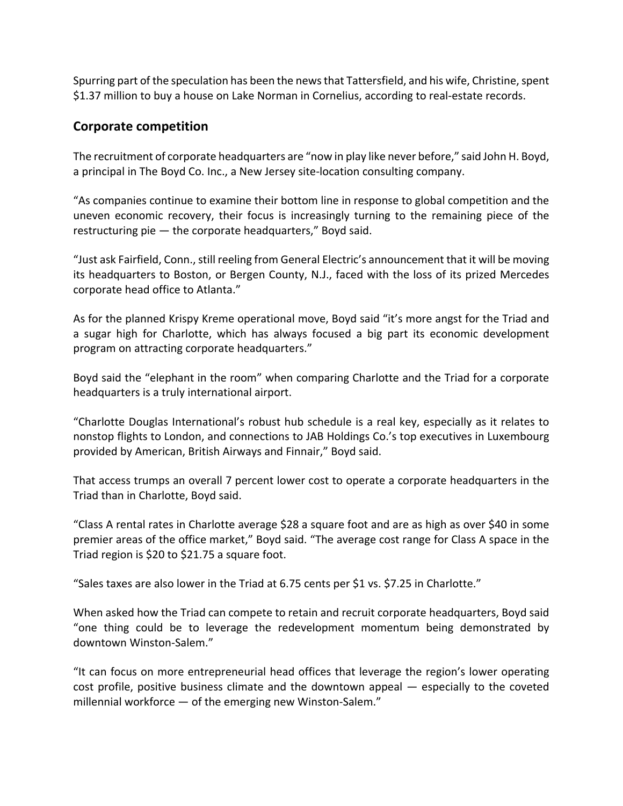Spurring part of the speculation has been the news that Tattersfield, and his wife, Christine, spent \$1.37 million to buy a house on Lake Norman in Cornelius, according to real‐estate records.

## **Corporate competition**

The recruitment of corporate headquarters are "now in play like never before," said John H. Boyd, a principal in The Boyd Co. Inc., a New Jersey site‐location consulting company.

"As companies continue to examine their bottom line in response to global competition and the uneven economic recovery, their focus is increasingly turning to the remaining piece of the restructuring pie — the corporate headquarters," Boyd said.

"Just ask Fairfield, Conn.,still reeling from General Electric's announcement that it will be moving its headquarters to Boston, or Bergen County, N.J., faced with the loss of its prized Mercedes corporate head office to Atlanta."

As for the planned Krispy Kreme operational move, Boyd said "it's more angst for the Triad and a sugar high for Charlotte, which has always focused a big part its economic development program on attracting corporate headquarters."

Boyd said the "elephant in the room" when comparing Charlotte and the Triad for a corporate headquarters is a truly international airport.

"Charlotte Douglas International's robust hub schedule is a real key, especially as it relates to nonstop flights to London, and connections to JAB Holdings Co.'s top executives in Luxembourg provided by American, British Airways and Finnair," Boyd said.

That access trumps an overall 7 percent lower cost to operate a corporate headquarters in the Triad than in Charlotte, Boyd said.

"Class A rental rates in Charlotte average \$28 a square foot and are as high as over \$40 in some premier areas of the office market," Boyd said. "The average cost range for Class A space in the Triad region is \$20 to \$21.75 a square foot.

"Sales taxes are also lower in the Triad at 6.75 cents per \$1 vs. \$7.25 in Charlotte."

When asked how the Triad can compete to retain and recruit corporate headquarters, Boyd said "one thing could be to leverage the redevelopment momentum being demonstrated by downtown Winston‐Salem."

"It can focus on more entrepreneurial head offices that leverage the region's lower operating cost profile, positive business climate and the downtown appeal — especially to the coveted millennial workforce — of the emerging new Winston-Salem."